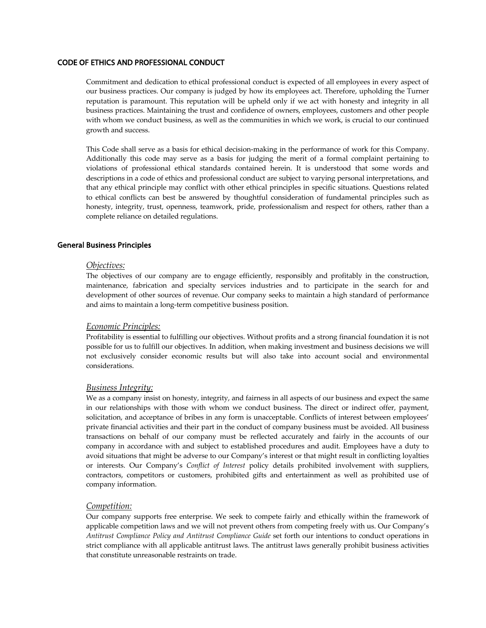#### CODE OF ETHICS AND PROFESSIONAL CONDUCT

Commitment and dedication to ethical professional conduct is expected of all employees in every aspect of our business practices. Our company is judged by how its employees act. Therefore, upholding the Turner reputation is paramount. This reputation will be upheld only if we act with honesty and integrity in all business practices. Maintaining the trust and confidence of owners, employees, customers and other people with whom we conduct business, as well as the communities in which we work, is crucial to our continued growth and success.

This Code shall serve as a basis for ethical decision-making in the performance of work for this Company. Additionally this code may serve as a basis for judging the merit of a formal complaint pertaining to violations of professional ethical standards contained herein. It is understood that some words and descriptions in a code of ethics and professional conduct are subject to varying personal interpretations, and that any ethical principle may conflict with other ethical principles in specific situations. Questions related to ethical conflicts can best be answered by thoughtful consideration of fundamental principles such as honesty, integrity, trust, openness, teamwork, pride, professionalism and respect for others, rather than a complete reliance on detailed regulations.

### General Business Principles

### *Objectives:*

The objectives of our company are to engage efficiently, responsibly and profitably in the construction, maintenance, fabrication and specialty services industries and to participate in the search for and development of other sources of revenue. Our company seeks to maintain a high standard of performance and aims to maintain a long-term competitive business position.

## *Economic Principles:*

Profitability is essential to fulfilling our objectives. Without profits and a strong financial foundation it is not possible for us to fulfill our objectives. In addition, when making investment and business decisions we will not exclusively consider economic results but will also take into account social and environmental considerations.

#### *Business Integrity:*

We as a company insist on honesty, integrity, and fairness in all aspects of our business and expect the same in our relationships with those with whom we conduct business. The direct or indirect offer, payment, solicitation, and acceptance of bribes in any form is unacceptable. Conflicts of interest between employees' private financial activities and their part in the conduct of company business must be avoided. All business transactions on behalf of our company must be reflected accurately and fairly in the accounts of our company in accordance with and subject to established procedures and audit. Employees have a duty to avoid situations that might be adverse to our Company's interest or that might result in conflicting loyalties or interests. Our Company's *Conflict of Interest* policy details prohibited involvement with suppliers, contractors, competitors or customers, prohibited gifts and entertainment as well as prohibited use of company information.

## *Competition:*

Our company supports free enterprise. We seek to compete fairly and ethically within the framework of applicable competition laws and we will not prevent others from competing freely with us. Our Company's *Antitrust Compliance Policy and Antitrust Compliance Guide* set forth our intentions to conduct operations in strict compliance with all applicable antitrust laws. The antitrust laws generally prohibit business activities that constitute unreasonable restraints on trade.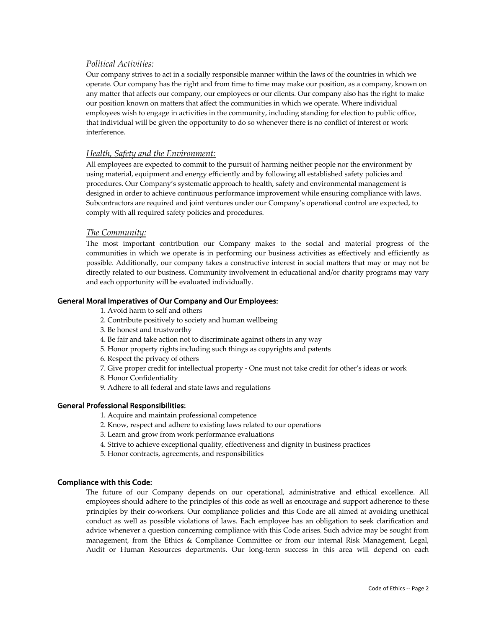# *Political Activities:*

Our company strives to act in a socially responsible manner within the laws of the countries in which we operate. Our company has the right and from time to time may make our position, as a company, known on any matter that affects our company, our employees or our clients. Our company also has the right to make our position known on matters that affect the communities in which we operate. Where individual employees wish to engage in activities in the community, including standing for election to public office, that individual will be given the opportunity to do so whenever there is no conflict of interest or work interference.

## *Health, Safety and the Environment:*

All employees are expected to commit to the pursuit of harming neither people nor the environment by using material, equipment and energy efficiently and by following all established safety policies and procedures. Our Company's systematic approach to health, safety and environmental management is designed in order to achieve continuous performance improvement while ensuring compliance with laws. Subcontractors are required and joint ventures under our Company's operational control are expected, to comply with all required safety policies and procedures.

## *The Community:*

The most important contribution our Company makes to the social and material progress of the communities in which we operate is in performing our business activities as effectively and efficiently as possible. Additionally, our company takes a constructive interest in social matters that may or may not be directly related to our business. Community involvement in educational and/or charity programs may vary and each opportunity will be evaluated individually.

### General Moral Imperatives of Our Company and Our Employees:

- 1. Avoid harm to self and others
- 2. Contribute positively to society and human wellbeing
- 3. Be honest and trustworthy
- 4. Be fair and take action not to discriminate against others in any way
- 5. Honor property rights including such things as copyrights and patents
- 6. Respect the privacy of others

7. Give proper credit for intellectual property - One must not take credit for other's ideas or work

- 8. Honor Confidentiality
- 9. Adhere to all federal and state laws and regulations

#### General Professional Responsibilities:

- 1. Acquire and maintain professional competence
- 2. Know, respect and adhere to existing laws related to our operations
- 3. Learn and grow from work performance evaluations
- 4. Strive to achieve exceptional quality, effectiveness and dignity in business practices
- 5. Honor contracts, agreements, and responsibilities

#### Compliance with this Code:

The future of our Company depends on our operational, administrative and ethical excellence. All employees should adhere to the principles of this code as well as encourage and support adherence to these principles by their co-workers. Our compliance policies and this Code are all aimed at avoiding unethical conduct as well as possible violations of laws. Each employee has an obligation to seek clarification and advice whenever a question concerning compliance with this Code arises. Such advice may be sought from management, from the Ethics & Compliance Committee or from our internal Risk Management, Legal, Audit or Human Resources departments. Our long-term success in this area will depend on each